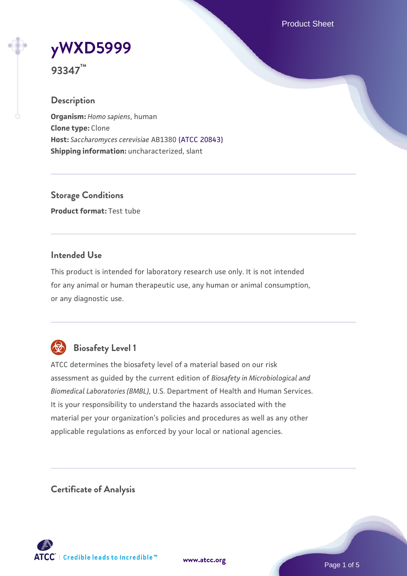Product Sheet

# **[yWXD5999](https://www.atcc.org/products/93347)**

**93347™**

# **Description**

**Organism:** *Homo sapiens*, human **Clone type:** Clone **Host:** *Saccharomyces cerevisiae* AB1380 [\(ATCC 20843\)](https://www.atcc.org/products/20843) **Shipping information:** uncharacterized, slant

**Storage Conditions Product format:** Test tube

# **Intended Use**

This product is intended for laboratory research use only. It is not intended for any animal or human therapeutic use, any human or animal consumption, or any diagnostic use.



# **Biosafety Level 1**

ATCC determines the biosafety level of a material based on our risk assessment as guided by the current edition of *Biosafety in Microbiological and Biomedical Laboratories (BMBL)*, U.S. Department of Health and Human Services. It is your responsibility to understand the hazards associated with the material per your organization's policies and procedures as well as any other applicable regulations as enforced by your local or national agencies.

**Certificate of Analysis**

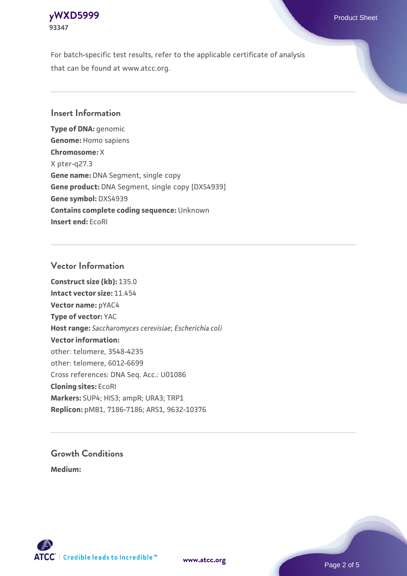## **[yWXD5999](https://www.atcc.org/products/93347)** Product Sheet **93347**

For batch-specific test results, refer to the applicable certificate of analysis that can be found at www.atcc.org.

# **Insert Information**

**Type of DNA:** genomic **Genome:** Homo sapiens **Chromosome:** X X pter-q27.3 **Gene name:** DNA Segment, single copy **Gene product:** DNA Segment, single copy [DXS4939] **Gene symbol:** DXS4939 **Contains complete coding sequence:** Unknown **Insert end:** EcoRI

# **Vector Information**

**Construct size (kb):** 135.0 **Intact vector size:** 11.454 **Vector name:** pYAC4 **Type of vector:** YAC **Host range:** *Saccharomyces cerevisiae*; *Escherichia coli* **Vector information:** other: telomere, 3548-4235 other: telomere, 6012-6699 Cross references: DNA Seq. Acc.: U01086 **Cloning sites:** EcoRI **Markers:** SUP4; HIS3; ampR; URA3; TRP1 **Replicon:** pMB1, 7186-7186; ARS1, 9632-10376

# **Growth Conditions**

**Medium:** 



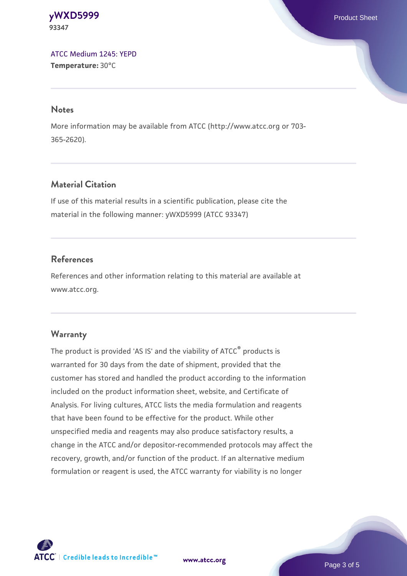**[yWXD5999](https://www.atcc.org/products/93347)** Product Sheet **93347**

[ATCC Medium 1245: YEPD](https://www.atcc.org/-/media/product-assets/documents/microbial-media-formulations/1/2/4/5/atcc-medium-1245.pdf?rev=705ca55d1b6f490a808a965d5c072196) **Temperature:** 30°C

#### **Notes**

More information may be available from ATCC (http://www.atcc.org or 703- 365-2620).

# **Material Citation**

If use of this material results in a scientific publication, please cite the material in the following manner: yWXD5999 (ATCC 93347)

# **References**

References and other information relating to this material are available at www.atcc.org.

#### **Warranty**

The product is provided 'AS IS' and the viability of ATCC® products is warranted for 30 days from the date of shipment, provided that the customer has stored and handled the product according to the information included on the product information sheet, website, and Certificate of Analysis. For living cultures, ATCC lists the media formulation and reagents that have been found to be effective for the product. While other unspecified media and reagents may also produce satisfactory results, a change in the ATCC and/or depositor-recommended protocols may affect the recovery, growth, and/or function of the product. If an alternative medium formulation or reagent is used, the ATCC warranty for viability is no longer

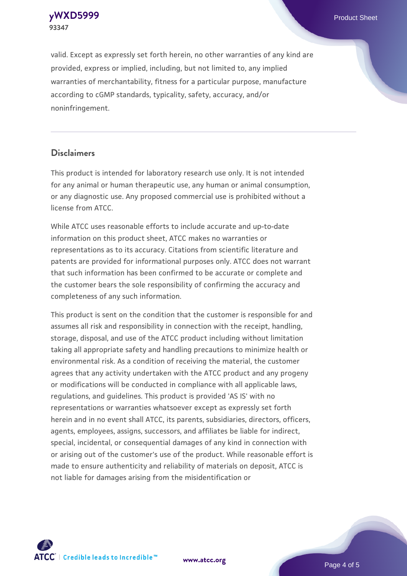**[yWXD5999](https://www.atcc.org/products/93347)** Product Sheet **93347**

valid. Except as expressly set forth herein, no other warranties of any kind are provided, express or implied, including, but not limited to, any implied warranties of merchantability, fitness for a particular purpose, manufacture according to cGMP standards, typicality, safety, accuracy, and/or noninfringement.

#### **Disclaimers**

This product is intended for laboratory research use only. It is not intended for any animal or human therapeutic use, any human or animal consumption, or any diagnostic use. Any proposed commercial use is prohibited without a license from ATCC.

While ATCC uses reasonable efforts to include accurate and up-to-date information on this product sheet, ATCC makes no warranties or representations as to its accuracy. Citations from scientific literature and patents are provided for informational purposes only. ATCC does not warrant that such information has been confirmed to be accurate or complete and the customer bears the sole responsibility of confirming the accuracy and completeness of any such information.

This product is sent on the condition that the customer is responsible for and assumes all risk and responsibility in connection with the receipt, handling, storage, disposal, and use of the ATCC product including without limitation taking all appropriate safety and handling precautions to minimize health or environmental risk. As a condition of receiving the material, the customer agrees that any activity undertaken with the ATCC product and any progeny or modifications will be conducted in compliance with all applicable laws, regulations, and guidelines. This product is provided 'AS IS' with no representations or warranties whatsoever except as expressly set forth herein and in no event shall ATCC, its parents, subsidiaries, directors, officers, agents, employees, assigns, successors, and affiliates be liable for indirect, special, incidental, or consequential damages of any kind in connection with or arising out of the customer's use of the product. While reasonable effort is made to ensure authenticity and reliability of materials on deposit, ATCC is not liable for damages arising from the misidentification or



**[www.atcc.org](http://www.atcc.org)**

Page 4 of 5